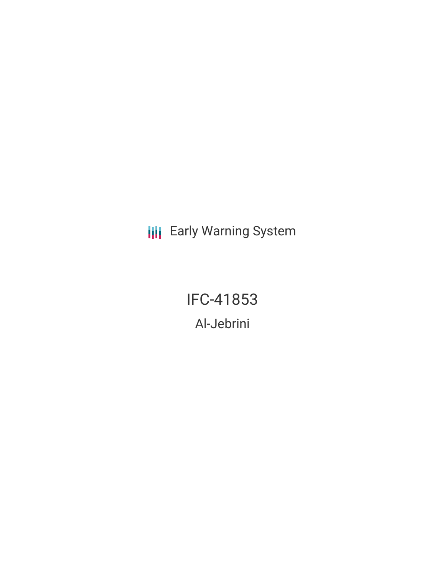**III** Early Warning System

IFC-41853 Al-Jebrini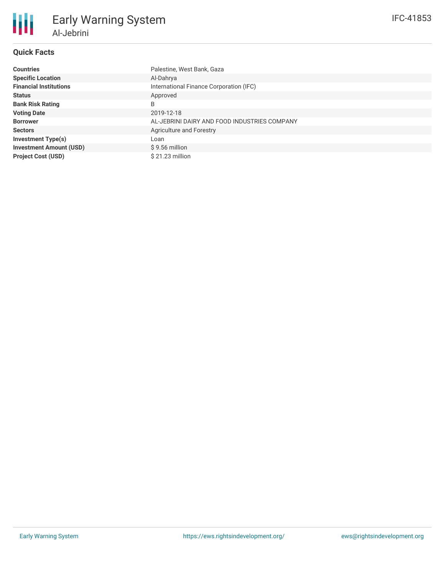# **Quick Facts**

| <b>Countries</b>               | Palestine, West Bank, Gaza                   |
|--------------------------------|----------------------------------------------|
| <b>Specific Location</b>       | Al-Dahrya                                    |
| <b>Financial Institutions</b>  | International Finance Corporation (IFC)      |
| <b>Status</b>                  | Approved                                     |
| <b>Bank Risk Rating</b>        | B                                            |
| <b>Voting Date</b>             | 2019-12-18                                   |
| <b>Borrower</b>                | AL-JEBRINI DAIRY AND FOOD INDUSTRIES COMPANY |
| <b>Sectors</b>                 | Agriculture and Forestry                     |
| <b>Investment Type(s)</b>      | Loan                                         |
| <b>Investment Amount (USD)</b> | $$9.56$ million                              |
| <b>Project Cost (USD)</b>      | $$21.23$ million                             |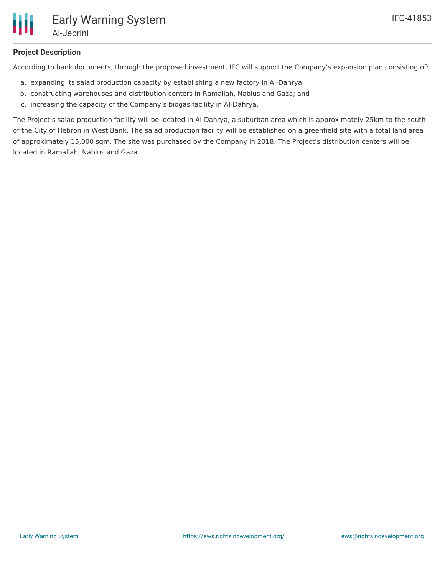

### **Project Description**

According to bank documents, through the proposed investment, IFC will support the Company's expansion plan consisting of:

- a. expanding its salad production capacity by establishing a new factory in Al-Dahrya;
- b. constructing warehouses and distribution centers in Ramallah, Nablus and Gaza; and
- c. increasing the capacity of the Company's biogas facility in Al-Dahrya.

The Project's salad production facility will be located in Al-Dahrya, a suburban area which is approximately 25km to the south of the City of Hebron in West Bank. The salad production facility will be established on a greenfield site with a total land area of approximately 15,000 sqm. The site was purchased by the Company in 2018. The Project's distribution centers will be located in Ramallah, Nablus and Gaza.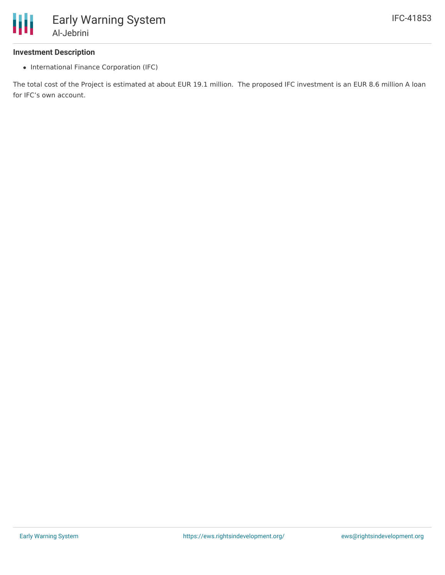#### **Investment Description**

• International Finance Corporation (IFC)

The total cost of the Project is estimated at about EUR 19.1 million. The proposed IFC investment is an EUR 8.6 million A loan for IFC's own account.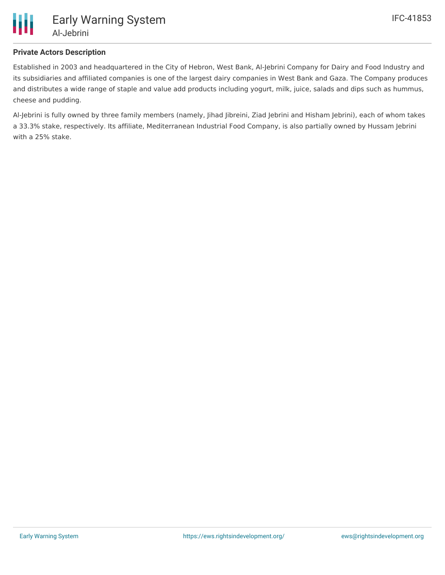

## **Private Actors Description**

Established in 2003 and headquartered in the City of Hebron, West Bank, Al-Jebrini Company for Dairy and Food Industry and its subsidiaries and affiliated companies is one of the largest dairy companies in West Bank and Gaza. The Company produces and distributes a wide range of staple and value add products including yogurt, milk, juice, salads and dips such as hummus, cheese and pudding.

Al-Jebrini is fully owned by three family members (namely, Jihad Jibreini, Ziad Jebrini and Hisham Jebrini), each of whom takes a 33.3% stake, respectively. Its affiliate, Mediterranean Industrial Food Company, is also partially owned by Hussam Jebrini with a 25% stake.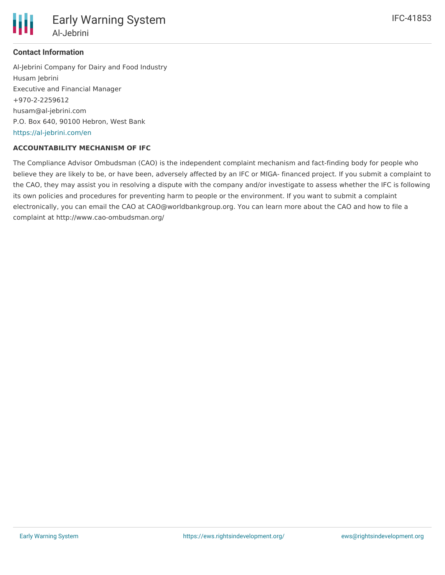

Early Warning System Al-Jebrini

### **Contact Information**

Al-Jebrini Company for Dairy and Food Industry Husam Jebrini Executive and Financial Manager +970-2-2259612 husam@al-jebrini.com P.O. Box 640, 90100 Hebron, West Bank <https://al-jebrini.com/en>

### **ACCOUNTABILITY MECHANISM OF IFC**

The Compliance Advisor Ombudsman (CAO) is the independent complaint mechanism and fact-finding body for people who believe they are likely to be, or have been, adversely affected by an IFC or MIGA- financed project. If you submit a complaint to the CAO, they may assist you in resolving a dispute with the company and/or investigate to assess whether the IFC is following its own policies and procedures for preventing harm to people or the environment. If you want to submit a complaint electronically, you can email the CAO at CAO@worldbankgroup.org. You can learn more about the CAO and how to file a complaint at http://www.cao-ombudsman.org/